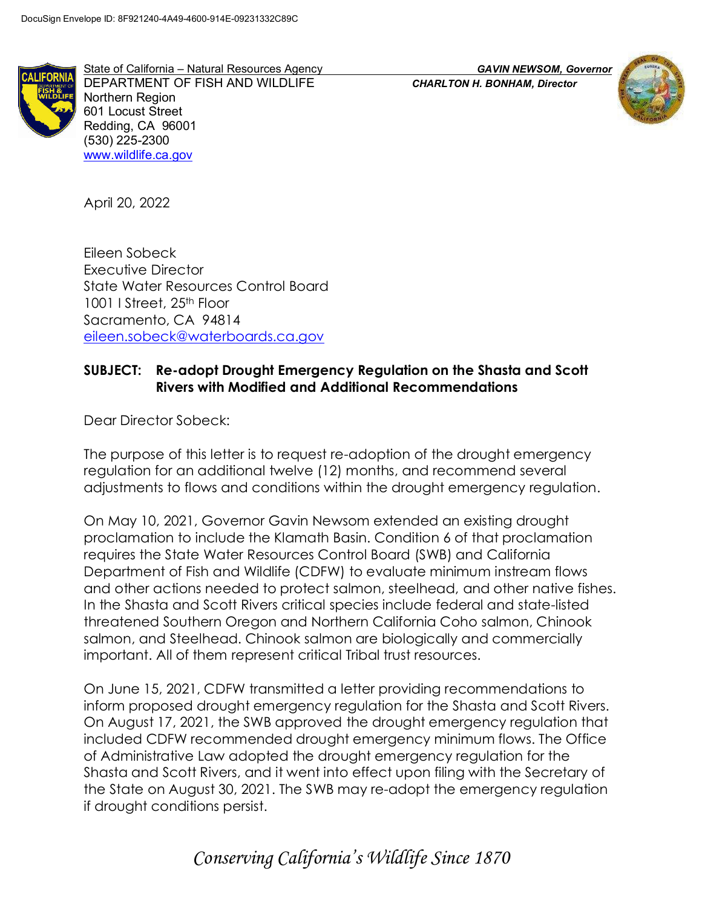

State of California – Natural Resources Agency *GAVIN NEWSOM, Governor* DEPARTMENT OF FISH AND WILDLIFE *CHARLTON H. BONHAM, Director* Northern Region 601 Locust Street Redding, CA 96001 (530) 225-2300 www.wildlife.ca.gov



April 20, 2022

Eileen Sobeck Executive Director State Water Resources Control Board 1001 I Street, 25<sup>th</sup> Floor Sacramento, CA 94814 eileen.sobeck@waterboards.ca.gov

#### SUBJECT: Re-adopt Drought Emergency Regulation on the Shasta and Scott Rivers with Modified and Additional Recommendations

Dear Director Sobeck:

The purpose of this letter is to request re-adoption of the drought emergency regulation for an additional twelve (12) months, and recommend several adjustments to flows and conditions within the drought emergency regulation.

On May 10, 2021, Governor Gavin Newsom extended an existing drought proclamation to include the Klamath Basin. Condition 6 of that proclamation requires the State Water Resources Control Board (SWB) and California Department of Fish and Wildlife (CDFW) to evaluate minimum instream flows and other actions needed to protect salmon, steelhead, and other native fishes. In the Shasta and Scott Rivers critical species include federal and state-listed threatened Southern Oregon and Northern California Coho salmon, Chinook salmon, and Steelhead. Chinook salmon are biologically and commercially important. All of them represent critical Tribal trust resources.

On June 15, 2021, CDFW transmitted a letter providing recommendations to inform proposed drought emergency regulation for the Shasta and Scott Rivers. On August 17, 2021, the SWB approved the drought emergency regulation that included CDFW recommended drought emergency minimum flows. The Office of Administrative Law adopted the drought emergency regulation for the Shasta and Scott Rivers, and it went into effect upon filing with the Secretary of the State on August 30, 2021. The SWB may re-adopt the emergency regulation if drought conditions persist.

Conserving California's Wildlife Since 1870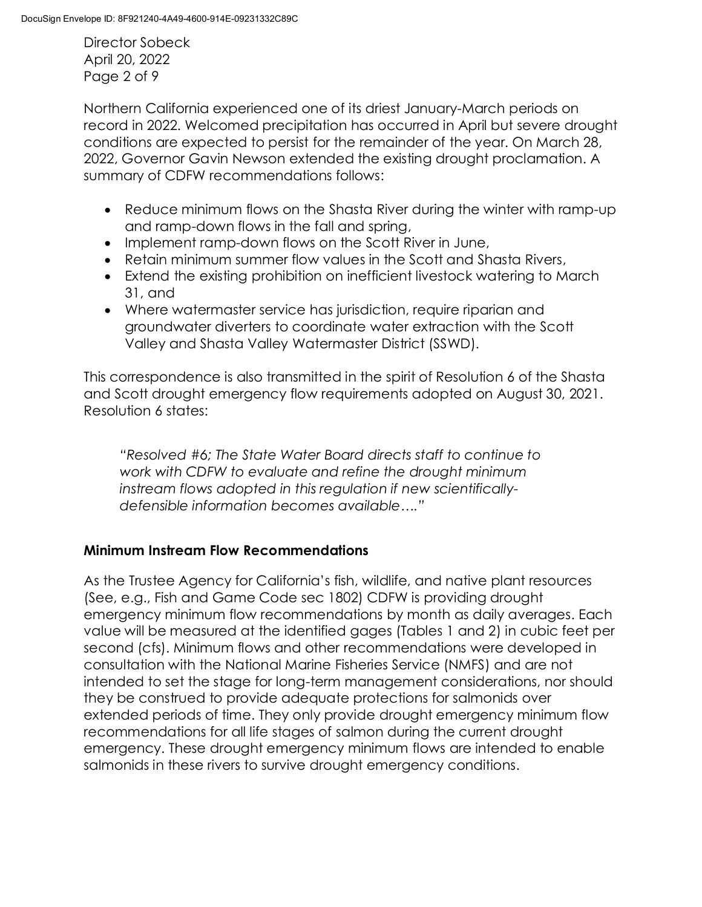Director Sobeck April 20, 2022 Page 2 of 9

Northern California experienced one of its driest January-March periods on record in 2022. Welcomed precipitation has occurred in April but severe drought conditions are expected to persist for the remainder of the year. On March 28, 2022, Governor Gavin Newson extended the existing drought proclamation. A summary of CDFW recommendations follows:

- · Reduce minimum flows on the Shasta River during the winter with ramp-up and ramp-down flows in the fall and spring,
- · Implement ramp-down flows on the Scott River in June,
- · Retain minimum summer flow values in the Scott and Shasta Rivers,
- · Extend the existing prohibition on inefficient livestock watering to March 31, and
- · Where watermaster service has jurisdiction, require riparian and groundwater diverters to coordinate water extraction with the Scott Valley and Shasta Valley Watermaster District (SSWD).

This correspondence is also transmitted in the spirit of Resolution 6 of the Shasta and Scott drought emergency flow requirements adopted on August 30, 2021. Resolution 6 states:

"Resolved #6; The State Water Board directs staff to continue to work with CDFW to evaluate and refine the drought minimum instream flows adopted in this regulation if new scientificallydefensible information becomes available…."

## Minimum Instream Flow Recommendations

As the Trustee Agency for California's fish, wildlife, and native plant resources (See, e.g., Fish and Game Code sec 1802) CDFW is providing drought emergency minimum flow recommendations by month as daily averages. Each value will be measured at the identified gages (Tables 1 and 2) in cubic feet per second (cfs). Minimum flows and other recommendations were developed in consultation with the National Marine Fisheries Service (NMFS) and are not intended to set the stage for long-term management considerations, nor should they be construed to provide adequate protections for salmonids over extended periods of time. They only provide drought emergency minimum flow recommendations for all life stages of salmon during the current drought emergency. These drought emergency minimum flows are intended to enable salmonids in these rivers to survive drought emergency conditions.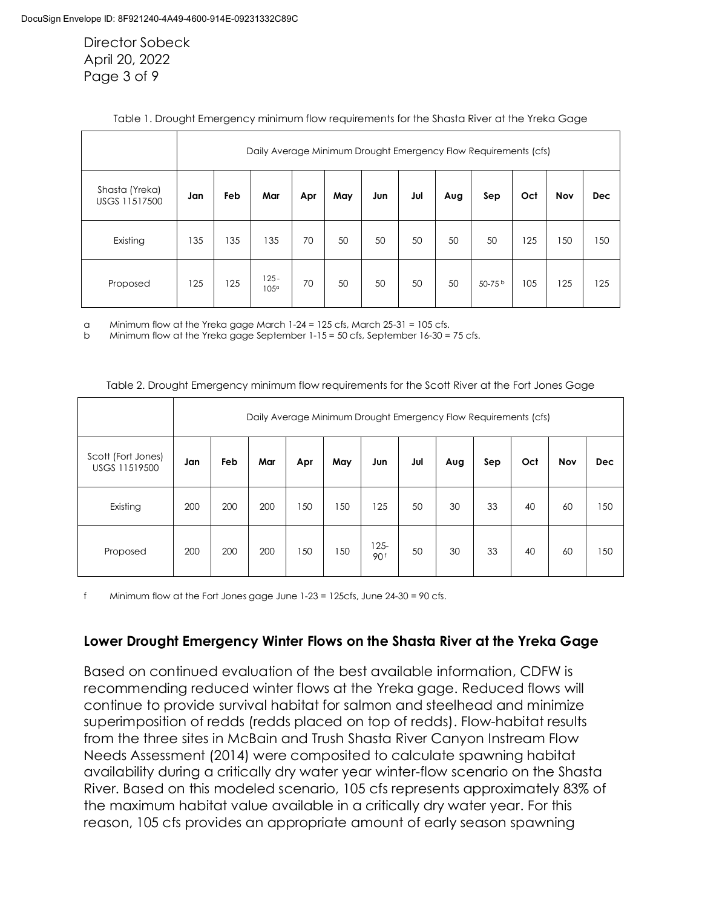Director Sobeck April 20, 2022 Page 3 of 9

|                                 | Daily Average Minimum Drought Emergency Flow Requirements (cfs) |     |                        |     |     |     |     |     |           |     |     |            |
|---------------------------------|-----------------------------------------------------------------|-----|------------------------|-----|-----|-----|-----|-----|-----------|-----|-----|------------|
| Shasta (Yreka)<br>USGS 11517500 | Jan                                                             | Feb | Mar                    | Apr | May | Jun | Jul | Aug | Sep       | Oct | Nov | <b>Dec</b> |
| Existing                        | 135                                                             | 135 | 135                    | 70  | 50  | 50  | 50  | 50  | 50        | 125 | 150 | 150        |
| Proposed                        | 125                                                             | 125 | $125 -$<br>$105^\circ$ | 70  | 50  | 50  | 50  | 50  | 50-75 $b$ | 105 | 125 | 125        |

#### Table 1. Drought Emergency minimum flow requirements for the Shasta River at the Yreka Gage

a Minimum flow at the Yreka gage March  $1-24 = 125$  cfs, March  $25-31 = 105$  cfs.

b Minimum flow at the Yreka gage September 1-15 = 50 cfs, September 16-30 = 75 cfs.

|                                     | Daily Average Minimum Drought Emergency Flow Requirements (cfs) |     |     |     |     |                            |     |     |     |     |     |            |
|-------------------------------------|-----------------------------------------------------------------|-----|-----|-----|-----|----------------------------|-----|-----|-----|-----|-----|------------|
| Scott (Fort Jones)<br>USGS 11519500 | Jan                                                             | Feb | Mar | Apr | May | Jun                        | Jul | Aug | Sep | Oct | Nov | <b>Dec</b> |
| Existing                            | 200                                                             | 200 | 200 | 150 | 150 | 125                        | 50  | 30  | 33  | 40  | 60  | 150        |
| Proposed                            | 200                                                             | 200 | 200 | 150 | 150 | $125 -$<br>90 <sup>f</sup> | 50  | 30  | 33  | 40  | 60  | 150        |

Table 2. Drought Emergency minimum flow requirements for the Scott River at the Fort Jones Gage

f Minimum flow at the Fort Jones gage June 1-23 = 125cfs, June 24-30 = 90 cfs.

#### Lower Drought Emergency Winter Flows on the Shasta River at the Yreka Gage

Based on continued evaluation of the best available information, CDFW is recommending reduced winter flows at the Yreka gage. Reduced flows will continue to provide survival habitat for salmon and steelhead and minimize superimposition of redds (redds placed on top of redds). Flow-habitat results from the three sites in McBain and Trush Shasta River Canyon Instream Flow Needs Assessment (2014) were composited to calculate spawning habitat availability during a critically dry water year winter-flow scenario on the Shasta River. Based on this modeled scenario, 105 cfs represents approximately 83% of the maximum habitat value available in a critically dry water year. For this reason, 105 cfs provides an appropriate amount of early season spawning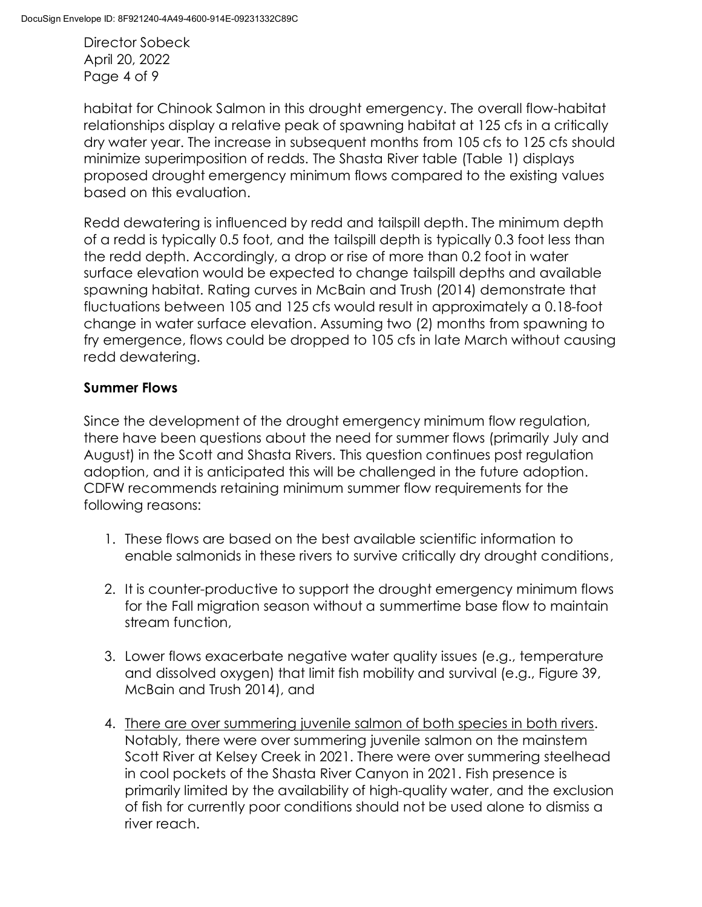Director Sobeck April 20, 2022 Page 4 of 9

habitat for Chinook Salmon in this drought emergency. The overall flow-habitat relationships display a relative peak of spawning habitat at 125 cfs in a critically dry water year. The increase in subsequent months from 105 cfs to 125 cfs should minimize superimposition of redds. The Shasta River table (Table 1) displays proposed drought emergency minimum flows compared to the existing values based on this evaluation.

Redd dewatering is influenced by redd and tailspill depth. The minimum depth of a redd is typically 0.5 foot, and the tailspill depth is typically 0.3 foot less than the redd depth. Accordingly, a drop or rise of more than 0.2 foot in water surface elevation would be expected to change tailspill depths and available spawning habitat. Rating curves in McBain and Trush (2014) demonstrate that fluctuations between 105 and 125 cfs would result in approximately a 0.18-foot change in water surface elevation. Assuming two (2) months from spawning to fry emergence, flows could be dropped to 105 cfs in late March without causing redd dewatering.

# Summer Flows

Since the development of the drought emergency minimum flow regulation, there have been questions about the need for summer flows (primarily July and August) in the Scott and Shasta Rivers. This question continues post regulation adoption, and it is anticipated this will be challenged in the future adoption. CDFW recommends retaining minimum summer flow requirements for the following reasons:

- 1. These flows are based on the best available scientific information to enable salmonids in these rivers to survive critically dry drought conditions,
- 2. It is counter-productive to support the drought emergency minimum flows for the Fall migration season without a summertime base flow to maintain stream function,
- 3. Lower flows exacerbate negative water quality issues (e.g., temperature and dissolved oxygen) that limit fish mobility and survival (e.g., Figure 39, McBain and Trush 2014), and
- 4. There are over summering juvenile salmon of both species in both rivers. Notably, there were over summering juvenile salmon on the mainstem Scott River at Kelsey Creek in 2021. There were over summering steelhead in cool pockets of the Shasta River Canyon in 2021. Fish presence is primarily limited by the availability of high-quality water, and the exclusion of fish for currently poor conditions should not be used alone to dismiss a river reach.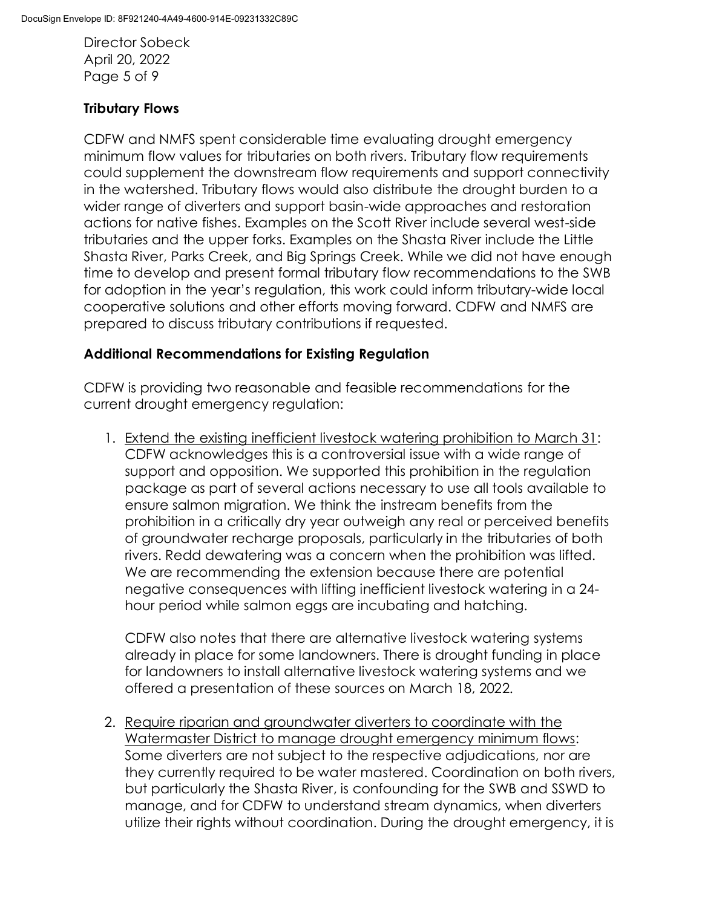Director Sobeck April 20, 2022 Page 5 of 9

# Tributary Flows

CDFW and NMFS spent considerable time evaluating drought emergency minimum flow values for tributaries on both rivers. Tributary flow requirements could supplement the downstream flow requirements and support connectivity in the watershed. Tributary flows would also distribute the drought burden to a wider range of diverters and support basin-wide approaches and restoration actions for native fishes. Examples on the Scott River include several west-side tributaries and the upper forks. Examples on the Shasta River include the Little Shasta River, Parks Creek, and Big Springs Creek. While we did not have enough time to develop and present formal tributary flow recommendations to the SWB for adoption in the year's regulation, this work could inform tributary-wide local cooperative solutions and other efforts moving forward. CDFW and NMFS are prepared to discuss tributary contributions if requested.

## Additional Recommendations for Existing Regulation

CDFW is providing two reasonable and feasible recommendations for the current drought emergency regulation:

1. Extend the existing inefficient livestock watering prohibition to March 31: CDFW acknowledges this is a controversial issue with a wide range of support and opposition. We supported this prohibition in the regulation package as part of several actions necessary to use all tools available to ensure salmon migration. We think the instream benefits from the prohibition in a critically dry year outweigh any real or perceived benefits of groundwater recharge proposals, particularly in the tributaries of both rivers. Redd dewatering was a concern when the prohibition was lifted. We are recommending the extension because there are potential negative consequences with lifting inefficient livestock watering in a 24 hour period while salmon eggs are incubating and hatching.

CDFW also notes that there are alternative livestock watering systems already in place for some landowners. There is drought funding in place for landowners to install alternative livestock watering systems and we offered a presentation of these sources on March 18, 2022.

2. Require riparian and groundwater diverters to coordinate with the Watermaster District to manage drought emergency minimum flows: Some diverters are not subject to the respective adjudications, nor are they currently required to be water mastered. Coordination on both rivers, but particularly the Shasta River, is confounding for the SWB and SSWD to manage, and for CDFW to understand stream dynamics, when diverters utilize their rights without coordination. During the drought emergency, it is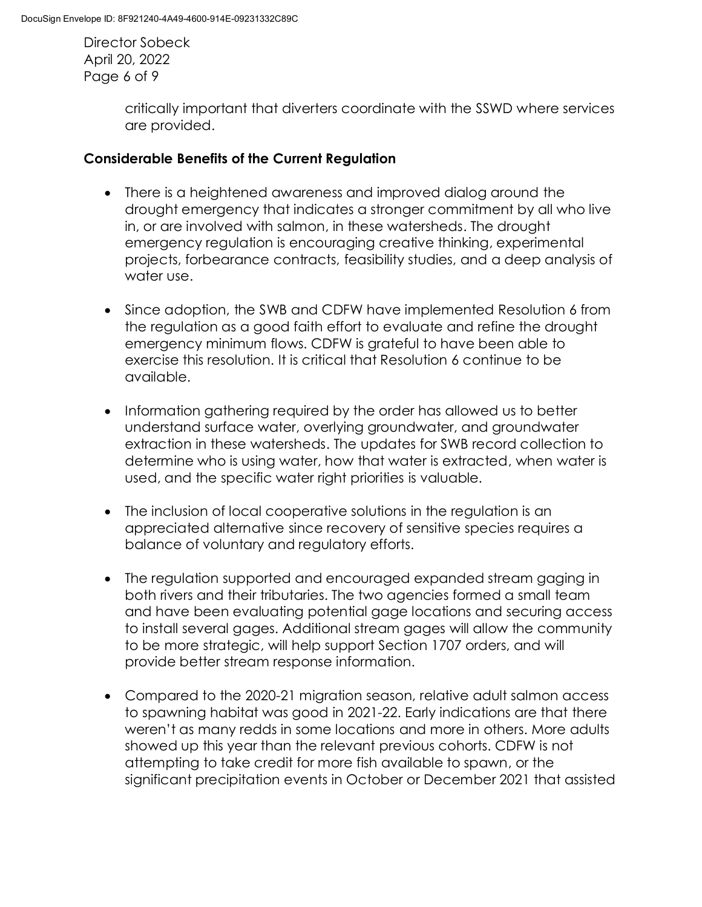Director Sobeck April 20, 2022 Page 6 of 9

> critically important that diverters coordinate with the SSWD where services are provided.

#### Considerable Benefits of the Current Regulation

- · There is a heightened awareness and improved dialog around the drought emergency that indicates a stronger commitment by all who live in, or are involved with salmon, in these watersheds. The drought emergency regulation is encouraging creative thinking, experimental projects, forbearance contracts, feasibility studies, and a deep analysis of water use.
- · Since adoption, the SWB and CDFW have implemented Resolution 6 from the regulation as a good faith effort to evaluate and refine the drought emergency minimum flows. CDFW is grateful to have been able to exercise this resolution. It is critical that Resolution 6 continue to be available.
- · Information gathering required by the order has allowed us to better understand surface water, overlying groundwater, and groundwater extraction in these watersheds. The updates for SWB record collection to determine who is using water, how that water is extracted, when water is used, and the specific water right priorities is valuable.
- · The inclusion of local cooperative solutions in the regulation is an appreciated alternative since recovery of sensitive species requires a balance of voluntary and regulatory efforts.
- · The regulation supported and encouraged expanded stream gaging in both rivers and their tributaries. The two agencies formed a small team and have been evaluating potential gage locations and securing access to install several gages. Additional stream gages will allow the community to be more strategic, will help support Section 1707 orders, and will provide better stream response information.
- · Compared to the 2020-21 migration season, relative adult salmon access to spawning habitat was good in 2021-22. Early indications are that there weren't as many redds in some locations and more in others. More adults showed up this year than the relevant previous cohorts. CDFW is not attempting to take credit for more fish available to spawn, or the significant precipitation events in October or December 2021 that assisted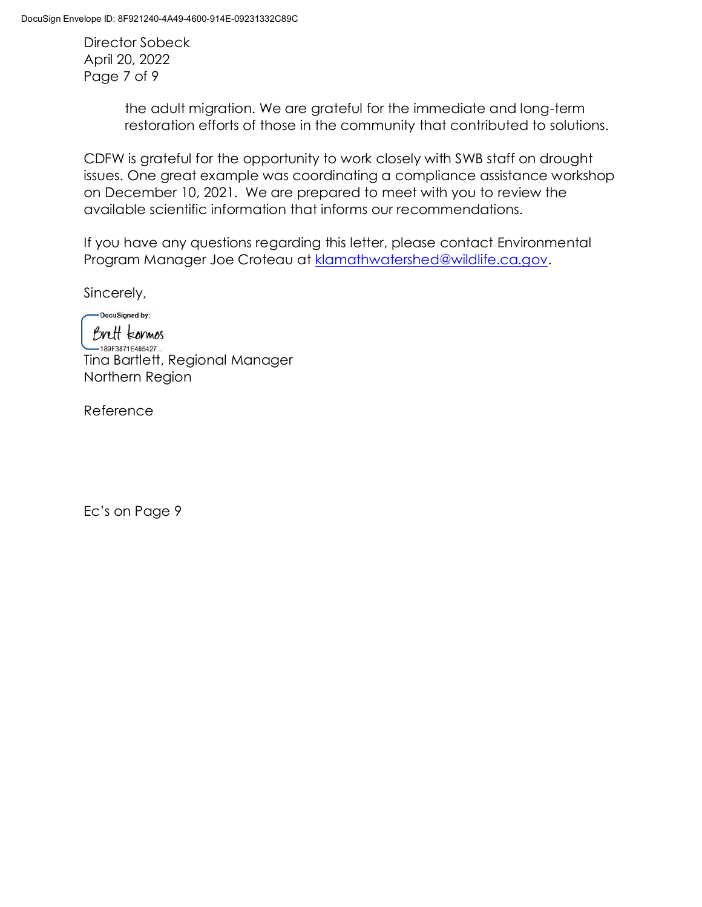Director Sobeck April 20, 2022 Page 7 of 9

> the adult migration. We are grateful for the immediate and long-term restoration efforts of those in the community that contributed to solutions.

CDFW is grateful for the opportunity to work closely with SWB staff on drought issues. One great example was coordinating a compliance assistance workshop on December 10, 2021. We are prepared to meet with you to review the available scientific information that informs our recommendations.

If you have any questions regarding this letter, please contact Environmental Program Manager Joe Croteau at klamathwatershed@wildlife.ca.gov.

Sincerely,

-DocuSigned by: Brett kormos -189F3871E465427... Tina Bartlett, Regional Manager Northern Region

Reference

Ec's on Page 9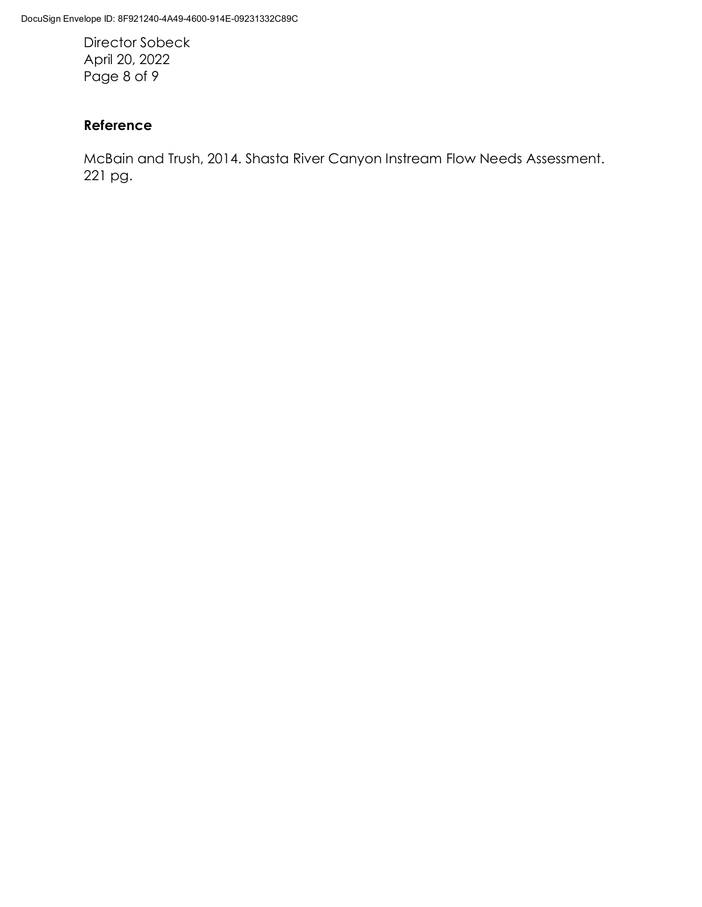Director Sobeck April 20, 2022 Page 8 of 9

## Reference

McBain and Trush, 2014. Shasta River Canyon Instream Flow Needs Assessment. 221 pg.